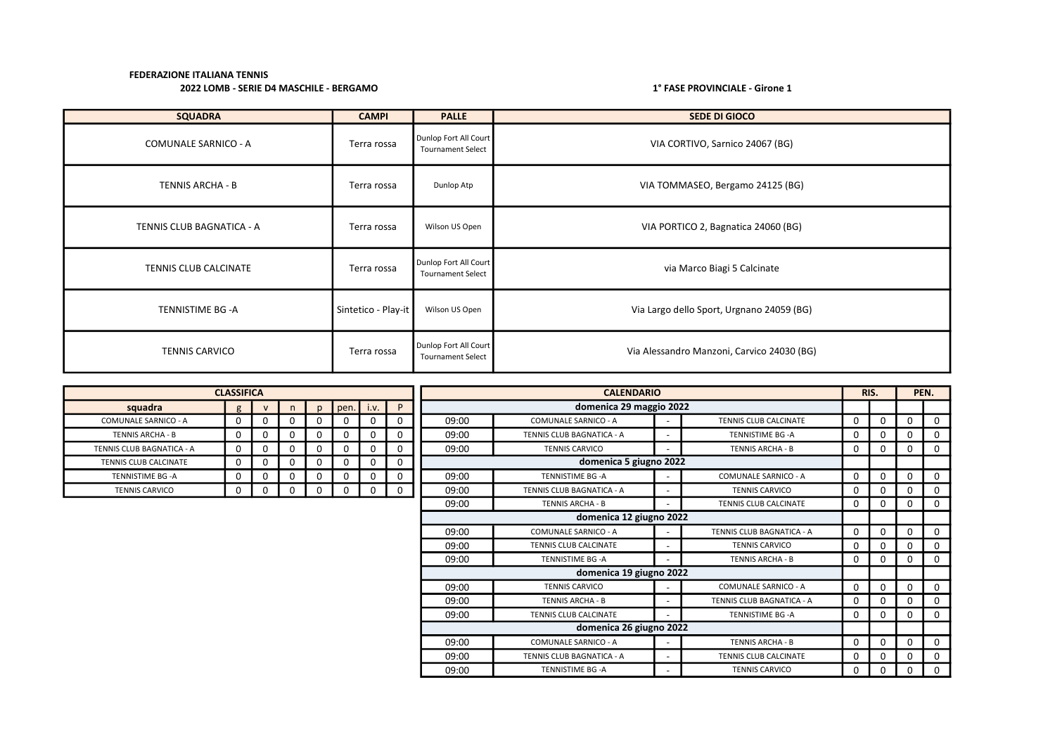| <b>SQUADRA</b>              | <b>CAMPI</b>        | <b>PALLE</b>                                      | <b>SEDE DI GIOCO</b>                       |
|-----------------------------|---------------------|---------------------------------------------------|--------------------------------------------|
| <b>COMUNALE SARNICO - A</b> | Terra rossa         | Dunlop Fort All Court<br><b>Tournament Select</b> | VIA CORTIVO, Sarnico 24067 (BG)            |
| TENNIS ARCHA - B            | Terra rossa         | Dunlop Atp                                        | VIA TOMMASEO, Bergamo 24125 (BG)           |
| TENNIS CLUB BAGNATICA - A   | Terra rossa         | Wilson US Open                                    | VIA PORTICO 2, Bagnatica 24060 (BG)        |
| TENNIS CLUB CALCINATE       | Terra rossa         | Dunlop Fort All Court<br><b>Tournament Select</b> | via Marco Biagi 5 Calcinate                |
| TENNISTIME BG-A             | Sintetico - Play-it | Wilson US Open                                    | Via Largo dello Sport, Urgnano 24059 (BG)  |
| <b>TENNIS CARVICO</b>       | Terra rossa         | Dunlop Fort All Court<br><b>Tournament Select</b> | Via Alessandro Manzoni, Carvico 24030 (BG) |

|                           | <b>CLASSIFICA</b> |              |    |              |       |      |             |       | <b>CALENDARIO</b><br>domenica 29 maggio 2022<br><b>COMUNALE SARNICO - A</b><br>TENNIS CLUB CALCINATE<br>TENNIS CLUB BAGNATICA - A<br><b>TENNISTIME BG-A</b><br><b>TENNIS CARVICO</b><br><b>TENNIS ARCHA - B</b><br>$\overline{\phantom{a}}$<br>domenica 5 giugno 2022 |                          |                             |              |          |          | PEN.     |
|---------------------------|-------------------|--------------|----|--------------|-------|------|-------------|-------|-----------------------------------------------------------------------------------------------------------------------------------------------------------------------------------------------------------------------------------------------------------------------|--------------------------|-----------------------------|--------------|----------|----------|----------|
| squadra                   | $\mathbf{g}$      | $\mathbf{v}$ | n. | $\mathbf{D}$ | open. | i.v. | P           |       |                                                                                                                                                                                                                                                                       |                          |                             |              |          |          |          |
| COMUNALE SARNICO - A      | 0                 |              | 0  | 0            |       | 0    | 0           | 09:00 |                                                                                                                                                                                                                                                                       |                          |                             |              | 0        | $\Omega$ | $\Omega$ |
| <b>TENNIS ARCHA - B</b>   | 0                 | $\Omega$     | 0  | $\Omega$     |       | 0    | 0           | 09:00 |                                                                                                                                                                                                                                                                       |                          |                             | U            | 0        | $\Omega$ | 0        |
| TENNIS CLUB BAGNATICA - A | 0                 | 0            | 0  | 0            |       | 0    | 0           | 09:00 |                                                                                                                                                                                                                                                                       |                          |                             |              | 0        | 0        | 0        |
| TENNIS CLUB CALCINATE     | $\mathbf 0$       |              | 0  | 0            |       | 0    | 0           |       |                                                                                                                                                                                                                                                                       |                          |                             |              |          |          |          |
| TENNISTIME BG -A          | $\Omega$          |              | 0  | 0            |       | 0    | 0           | 09:00 | TENNISTIME BG -A                                                                                                                                                                                                                                                      |                          | <b>COMUNALE SARNICO - A</b> | 0            | $\Omega$ | $\Omega$ | 0        |
| <b>TENNIS CARVICO</b>     | 0                 | 0            | 0  | 0            |       | 0    | $\mathbf 0$ | 09:00 | TENNIS CLUB BAGNATICA - A                                                                                                                                                                                                                                             |                          | <b>TENNIS CARVICO</b>       |              | 0        | $\Omega$ | 0        |
|                           |                   |              |    |              |       |      |             | 09:00 | <b>TENNIS ARCHA - B</b>                                                                                                                                                                                                                                               |                          | TENNIS CLUB CALCINATE       |              | 0        | $\Omega$ | 0        |
|                           |                   |              |    |              |       |      |             |       | domenica 12 giugno 2022                                                                                                                                                                                                                                               |                          |                             |              |          |          |          |
|                           |                   |              |    |              |       |      |             | 09:00 | <b>COMUNALE SARNICO - A</b>                                                                                                                                                                                                                                           |                          | TENNIS CLUB BAGNATICA - A   | <sup>0</sup> | $\Omega$ | $\Omega$ | 0        |
|                           |                   |              |    |              |       |      |             | 09:00 | TENNIS CLUB CALCINATE                                                                                                                                                                                                                                                 | $\overline{\phantom{a}}$ | <b>TENNIS CARVICO</b>       |              | 0        | $\Omega$ | 0        |
|                           |                   |              |    |              |       |      |             | 09:00 | TENNISTIME BG -A                                                                                                                                                                                                                                                      |                          | <b>TENNIS ARCHA - B</b>     | 0            | 0        | $\Omega$ | 0        |
|                           |                   |              |    |              |       |      |             |       | domenica 19 giugno 2022                                                                                                                                                                                                                                               |                          |                             |              |          |          |          |
|                           |                   |              |    |              |       |      |             | 09:00 | <b>TENNIS CARVICO</b>                                                                                                                                                                                                                                                 |                          | <b>COMUNALE SARNICO - A</b> | 0            | $\Omega$ | $\Omega$ | 0        |
|                           |                   |              |    |              |       |      |             | 09:00 | <b>TENNIS ARCHA - B</b>                                                                                                                                                                                                                                               | ٠                        | TENNIS CLUB BAGNATICA - A   |              | 0        |          | 0        |
|                           |                   |              |    |              |       |      |             | 09:00 | TENNIS CLUB CALCINATE                                                                                                                                                                                                                                                 |                          | TENNISTIME BG -A            |              | 0        | $\Omega$ | 0        |
|                           |                   |              |    |              |       |      |             |       | domenica 26 giugno 2022                                                                                                                                                                                                                                               |                          |                             |              |          |          |          |
|                           |                   |              |    |              |       |      |             | 09:00 | <b>COMUNALE SARNICO - A</b>                                                                                                                                                                                                                                           |                          | <b>TENNIS ARCHA - B</b>     | $\Omega$     | 0        | 0        | 0        |
|                           |                   |              |    |              |       |      |             | 09:00 | TENNIS CLUB BAGNATICA - A                                                                                                                                                                                                                                             |                          | TENNIS CLUB CALCINATE       |              | 0        | 0        | 0        |
|                           |                   |              |    |              |       |      |             | 09:00 | TENNISTIME BG -A                                                                                                                                                                                                                                                      |                          | <b>TENNIS CARVICO</b>       | 0            | 0        | 0        | 0        |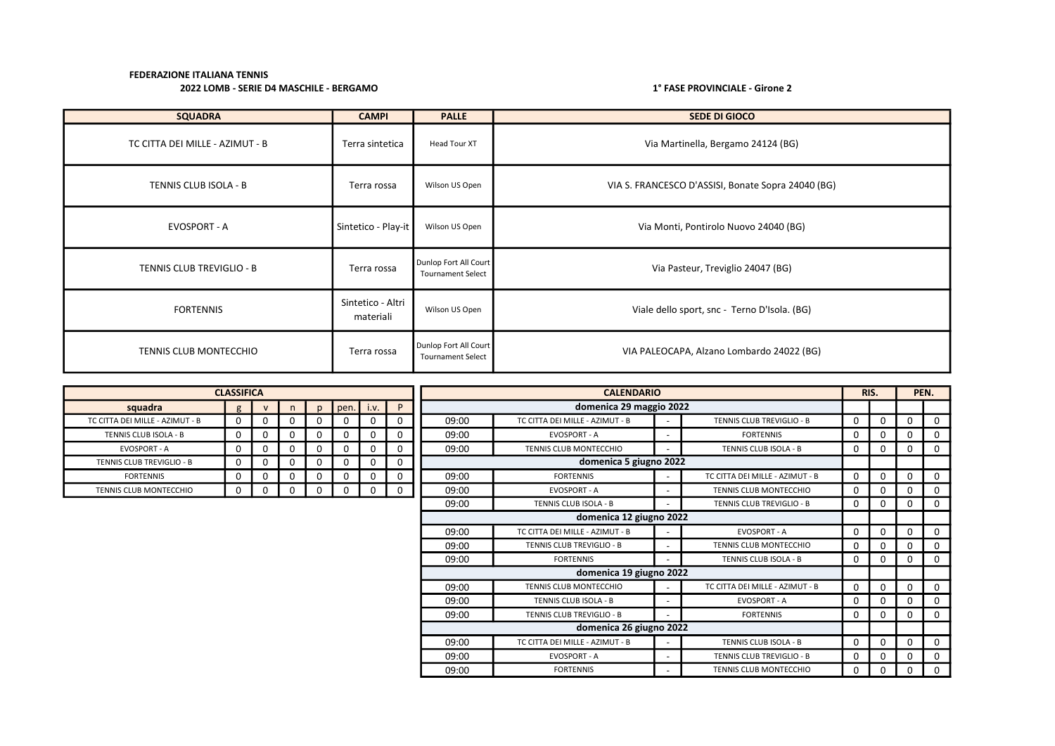| <b>SQUADRA</b>                  | <b>CAMPI</b>                   | <b>PALLE</b>                                      | <b>SEDE DI GIOCO</b>                               |
|---------------------------------|--------------------------------|---------------------------------------------------|----------------------------------------------------|
| TC CITTA DEI MILLE - AZIMUT - B | Terra sintetica                | Head Tour XT                                      | Via Martinella, Bergamo 24124 (BG)                 |
| TENNIS CLUB ISOLA - B           | Terra rossa                    | Wilson US Open                                    | VIA S. FRANCESCO D'ASSISI, Bonate Sopra 24040 (BG) |
| EVOSPORT - A                    | Sintetico - Play-it            | Wilson US Open                                    | Via Monti, Pontirolo Nuovo 24040 (BG)              |
| TENNIS CLUB TREVIGLIO - B       | Terra rossa                    | Dunlop Fort All Court<br><b>Tournament Select</b> | Via Pasteur, Treviglio 24047 (BG)                  |
| <b>FORTENNIS</b>                | Sintetico - Altri<br>materiali | Wilson US Open                                    | Viale dello sport, snc - Terno D'Isola. (BG)       |
| <b>TENNIS CLUB MONTECCHIO</b>   | Terra rossa                    | Dunlop Fort All Court<br><b>Tournament Select</b> | VIA PALEOCAPA, Alzano Lombardo 24022 (BG)          |

|                                  | <b>CLASSIFICA</b> |              |              |              |      |      |             |       | <b>CALENDARIO</b>               |  |                                 |             |              |          | PEN.        |
|----------------------------------|-------------------|--------------|--------------|--------------|------|------|-------------|-------|---------------------------------|--|---------------------------------|-------------|--------------|----------|-------------|
| squadra                          | g                 | $\mathsf{v}$ | $\mathsf{n}$ | $\mathsf{D}$ | pen. | i.v. | P           |       | domenica 29 maggio 2022         |  |                                 |             |              |          |             |
| TC CITTA DEI MILLE - AZIMUT - B  | $\Omega$          | 0            | O            |              | 0    | 0    | 0           | 09:00 | TC CITTA DEI MILLE - AZIMUT - B |  | TENNIS CLUB TREVIGLIO - B       | $\Omega$    | 0            | 0        | $\Omega$    |
| TENNIS CLUB ISOLA - B            | 0                 | 0            | $\Omega$     | 0            | 0    | 0    | $\Omega$    | 09:00 | <b>EVOSPORT - A</b>             |  | <b>FORTENNIS</b>                | $\Omega$    | 0            | 0        | 0           |
| <b>EVOSPORT - A</b>              | 0                 | 0            | 0            | 0            | 0    | 0    | 0           | 09:00 | <b>TENNIS CLUB MONTECCHIO</b>   |  | TENNIS CLUB ISOLA - B           | 0           | $\mathbf{0}$ | 0        | 0           |
| <b>TENNIS CLUB TREVIGLIO - B</b> | 0                 | 0            | $\Omega$     | $\Omega$     | 0    | 0    | 0           |       | domenica 5 giugno 2022          |  |                                 |             |              |          |             |
| <b>FORTENNIS</b>                 | $\Omega$          | 0            | $\Omega$     | 0            | 0    | 0    | 0           | 09:00 | <b>FORTENNIS</b>                |  | TC CITTA DEI MILLE - AZIMUT - B | $\Omega$    | 0            | $\Omega$ | $\Omega$    |
| <b>TENNIS CLUB MONTECCHIO</b>    | 0                 | 0            | $\Omega$     | 0            | 0    | 0    | $\mathbf 0$ | 09:00 | <b>EVOSPORT - A</b>             |  | <b>TENNIS CLUB MONTECCHIO</b>   | $\mathbf 0$ | 0            | 0        | $\Omega$    |
|                                  |                   |              |              |              |      |      |             | 09:00 | TENNIS CLUB ISOLA - B           |  | TENNIS CLUB TREVIGLIO - B       | $\Omega$    | 0            | 0        | $\Omega$    |
|                                  |                   |              |              |              |      |      |             |       | domenica 12 giugno 2022         |  |                                 |             |              |          |             |
|                                  |                   |              |              |              |      |      |             | 09:00 | TC CITTA DEI MILLE - AZIMUT - B |  | <b>EVOSPORT - A</b>             | $\Omega$    | $\Omega$     | $\Omega$ | $\Omega$    |
|                                  |                   |              |              |              |      |      |             | 09:00 | TENNIS CLUB TREVIGLIO - B       |  | <b>TENNIS CLUB MONTECCHIO</b>   | $\Omega$    | 0            | 0        | 0           |
|                                  |                   |              |              |              |      |      |             | 09:00 | <b>FORTENNIS</b>                |  | TENNIS CLUB ISOLA - B           | $\Omega$    | $\Omega$     | 0        | $\Omega$    |
|                                  |                   |              |              |              |      |      |             |       | domenica 19 giugno 2022         |  |                                 |             |              |          |             |
|                                  |                   |              |              |              |      |      |             | 09:00 | <b>TENNIS CLUB MONTECCHIO</b>   |  | TC CITTA DEI MILLE - AZIMUT - B | 0           | 0            | $\Omega$ | $\mathbf 0$ |
|                                  |                   |              |              |              |      |      |             | 09:00 | TENNIS CLUB ISOLA - B           |  | EVOSPORT - A                    | 0           | 0            | 0        | $\Omega$    |
|                                  |                   |              |              |              |      |      |             | 09:00 | TENNIS CLUB TREVIGLIO - B       |  | <b>FORTENNIS</b>                | 0           | 0            | 0        | $\Omega$    |
|                                  |                   |              |              |              |      |      |             |       | domenica 26 giugno 2022         |  |                                 |             |              |          |             |
|                                  |                   |              |              |              |      |      |             | 09:00 | TC CITTA DEI MILLE - AZIMUT - B |  | TENNIS CLUB ISOLA - B           | 0           | 0            | 0        | 0           |
|                                  |                   |              |              |              |      |      |             | 09:00 | <b>EVOSPORT - A</b>             |  | TENNIS CLUB TREVIGLIO - B       | $\Omega$    | 0            | 0        | 0           |
|                                  |                   |              |              |              |      |      |             | 09:00 | <b>FORTENNIS</b>                |  | <b>TENNIS CLUB MONTECCHIO</b>   | 0           | 0            | 0        | 0           |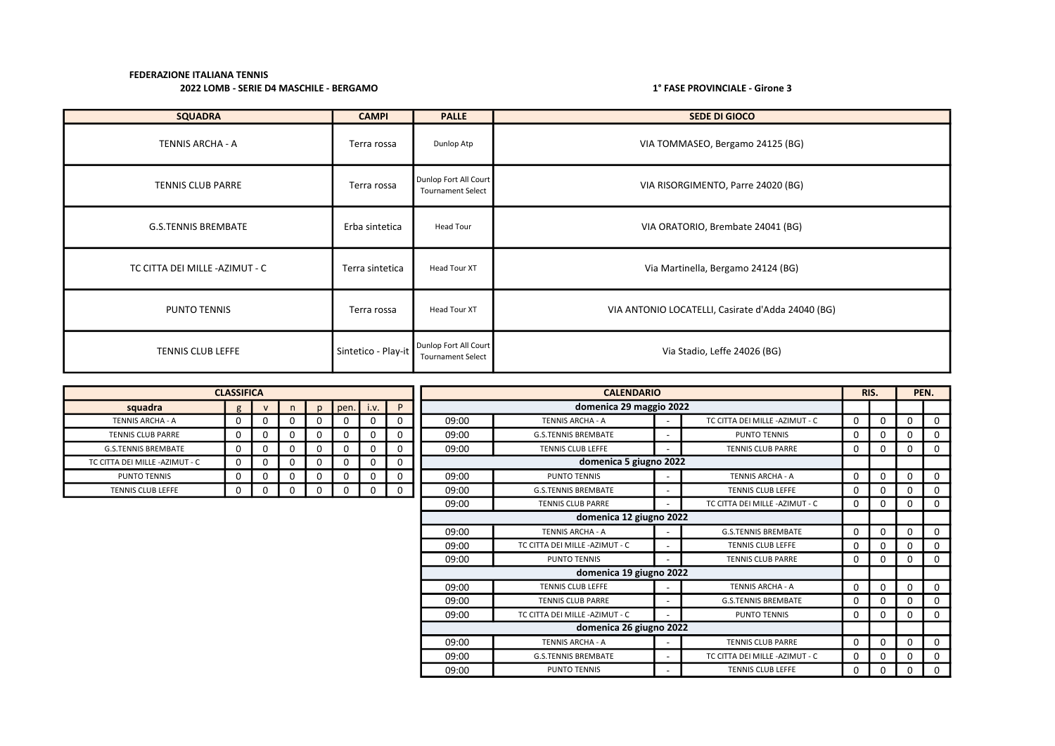| <b>SQUADRA</b>                | <b>CAMPI</b>        | <b>PALLE</b>                                      | <b>SEDE DI GIOCO</b>                              |
|-------------------------------|---------------------|---------------------------------------------------|---------------------------------------------------|
| TENNIS ARCHA - A              | Terra rossa         | Dunlop Atp                                        | VIA TOMMASEO, Bergamo 24125 (BG)                  |
| <b>TENNIS CLUB PARRE</b>      | Terra rossa         | Dunlop Fort All Court<br><b>Tournament Select</b> | VIA RISORGIMENTO, Parre 24020 (BG)                |
| <b>G.S.TENNIS BREMBATE</b>    | Erba sintetica      | Head Tour                                         | VIA ORATORIO, Brembate 24041 (BG)                 |
| TC CITTA DEI MILLE-AZIMUT - C | Terra sintetica     | Head Tour XT                                      | Via Martinella, Bergamo 24124 (BG)                |
| <b>PUNTO TENNIS</b>           | Terra rossa         | <b>Head Tour XT</b>                               | VIA ANTONIO LOCATELLI, Casirate d'Adda 24040 (BG) |
| <b>TENNIS CLUB LEFFE</b>      | Sintetico - Play-it | Dunlop Fort All Court<br><b>Tournament Select</b> | Via Stadio, Leffe 24026 (BG)                      |

|                                 | <b>CLASSIFICA</b> |              |   |              |             |          |   |       | <b>CALENDARIO</b>               |                          |                                 |             |  |          |             |
|---------------------------------|-------------------|--------------|---|--------------|-------------|----------|---|-------|---------------------------------|--------------------------|---------------------------------|-------------|--|----------|-------------|
| squadra                         | g                 | $\mathsf{v}$ | n | $\mathsf{D}$ | pen. i.v.   |          | P |       | domenica 29 maggio 2022         |                          |                                 |             |  |          |             |
| <b>TENNIS ARCHA - A</b>         | 0                 | $\Omega$     |   |              | 0           | 0        |   | 09:00 | <b>TENNIS ARCHA - A</b>         |                          | TC CITTA DEI MILLE - AZIMUT - C | 0           |  | 0        | $\Omega$    |
| <b>TENNIS CLUB PARRE</b>        | 0                 | 0            |   | 0            | $\mathbf 0$ | 0        |   | 09:00 | <b>G.S.TENNIS BREMBATE</b>      | $\overline{\phantom{a}}$ | PUNTO TENNIS                    | $\mathbf 0$ |  | 0        | 0           |
| <b>G.S.TENNIS BREMBATE</b>      | 0                 | 0            |   | 0            | 0           | 0        |   | 09:00 | <b>TENNIS CLUB LEFFE</b>        |                          | <b>TENNIS CLUB PARRE</b>        | $\mathbf 0$ |  | 0        | $\mathbf 0$ |
| TC CITTA DEI MILLE - AZIMUT - C | $\Omega$          | $\Omega$     |   |              | $\mathbf 0$ | $\Omega$ |   |       | domenica 5 giugno 2022          |                          |                                 |             |  |          |             |
| <b>PUNTO TENNIS</b>             | 0                 | 0            |   | 0            | $\mathbf 0$ | 0        |   | 09:00 | <b>PUNTO TENNIS</b>             |                          | <b>TENNIS ARCHA - A</b>         | $\mathbf 0$ |  | 0        | $\mathbf 0$ |
| <b>TENNIS CLUB LEFFE</b>        | 0                 | 0            |   |              | 0           | 0        |   | 09:00 | <b>G.S.TENNIS BREMBATE</b>      |                          | <b>TENNIS CLUB LEFFE</b>        | $\Omega$    |  | 0        | $\Omega$    |
|                                 |                   |              |   |              |             |          |   | 09:00 | <b>TENNIS CLUB PARRE</b>        |                          | TC CITTA DEI MILLE - AZIMUT - C | $\mathbf 0$ |  | 0        | $\mathbf 0$ |
|                                 |                   |              |   |              |             |          |   |       | domenica 12 giugno 2022         |                          |                                 |             |  |          |             |
|                                 |                   |              |   |              |             |          |   | 09:00 | TENNIS ARCHA - A                |                          | <b>G.S.TENNIS BREMBATE</b>      | 0           |  | 0        | $\Omega$    |
|                                 |                   |              |   |              |             |          |   | 09:00 | TC CITTA DEI MILLE - AZIMUT - C |                          | <b>TENNIS CLUB LEFFE</b>        | 0           |  | 0        | $\Omega$    |
|                                 |                   |              |   |              |             |          |   | 09:00 | PUNTO TENNIS                    |                          | <b>TENNIS CLUB PARRE</b>        | 0           |  | 0        | $\Omega$    |
|                                 |                   |              |   |              |             |          |   |       | domenica 19 giugno 2022         |                          |                                 |             |  |          |             |
|                                 |                   |              |   |              |             |          |   | 09:00 | <b>TENNIS CLUB LEFFE</b>        |                          | <b>TENNIS ARCHA - A</b>         | $\mathbf 0$ |  | 0        | $\Omega$    |
|                                 |                   |              |   |              |             |          |   | 09:00 | <b>TENNIS CLUB PARRE</b>        |                          | <b>G.S.TENNIS BREMBATE</b>      | 0           |  | 0        | $\Omega$    |
|                                 |                   |              |   |              |             |          |   | 09:00 | TC CITTA DEI MILLE - AZIMUT - C |                          | <b>PUNTO TENNIS</b>             | 0           |  | 0        | $\Omega$    |
|                                 |                   |              |   |              |             |          |   |       | domenica 26 giugno 2022         |                          |                                 |             |  |          |             |
|                                 |                   |              |   |              |             |          |   | 09:00 | TENNIS ARCHA - A                |                          | <b>TENNIS CLUB PARRE</b>        | 0           |  | $\Omega$ | $\mathbf 0$ |
|                                 |                   |              |   |              |             |          |   | 09:00 | <b>G.S.TENNIS BREMBATE</b>      |                          | TC CITTA DEI MILLE - AZIMUT - C | $\mathbf 0$ |  | 0        | $\mathbf 0$ |
|                                 |                   |              |   |              |             |          |   | 09:00 | PUNTO TENNIS                    |                          | TENNIS CLUB LEFFE               | 0           |  | 0        | 0           |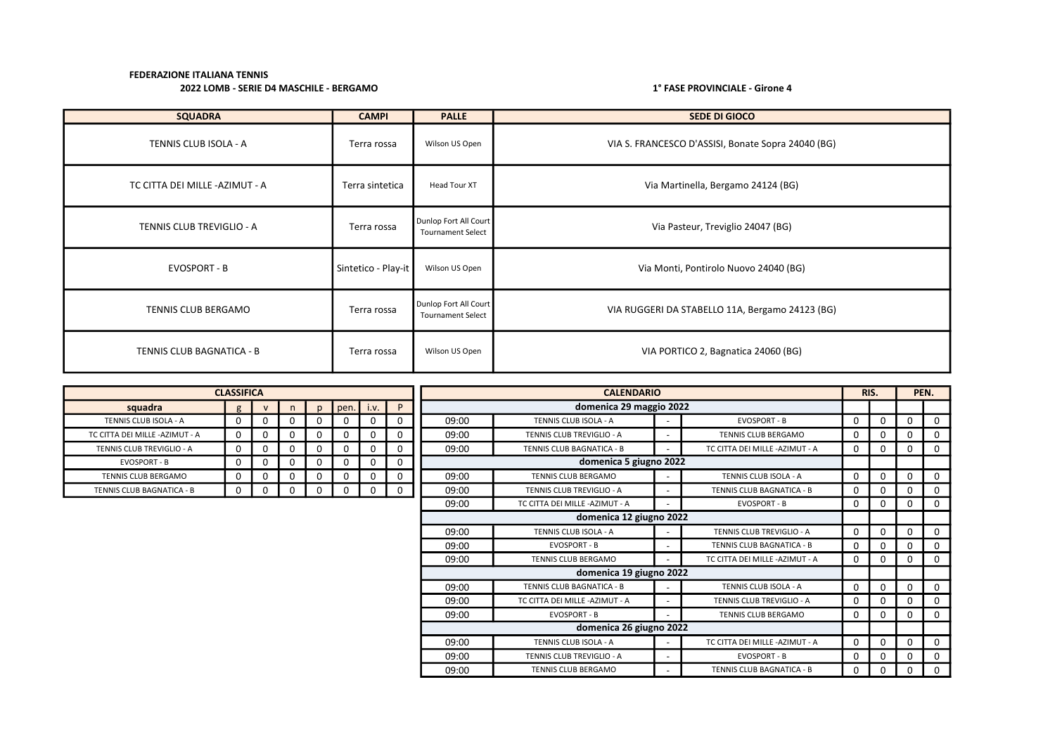| <b>SQUADRA</b>                  | <b>CAMPI</b>        | <b>PALLE</b>                                      | <b>SEDE DI GIOCO</b>                               |
|---------------------------------|---------------------|---------------------------------------------------|----------------------------------------------------|
| TENNIS CLUB ISOLA - A           | Terra rossa         | Wilson US Open                                    | VIA S. FRANCESCO D'ASSISI, Bonate Sopra 24040 (BG) |
| TC CITTA DEI MILLE - AZIMUT - A | Terra sintetica     | Head Tour XT                                      | Via Martinella, Bergamo 24124 (BG)                 |
| TENNIS CLUB TREVIGLIO - A       | Terra rossa         | Dunlop Fort All Court<br><b>Tournament Select</b> | Via Pasteur, Treviglio 24047 (BG)                  |
| EVOSPORT - B                    | Sintetico - Play-it | Wilson US Open                                    | Via Monti, Pontirolo Nuovo 24040 (BG)              |
| TENNIS CLUB BERGAMO             | Terra rossa         | Dunlop Fort All Court<br><b>Tournament Select</b> | VIA RUGGERI DA STABELLO 11A, Bergamo 24123 (BG)    |
| TENNIS CLUB BAGNATICA - B       | Terra rossa         | Wilson US Open                                    | VIA PORTICO 2, Bagnatica 24060 (BG)                |

|                                  | <b>CLASSIFICA</b> |              |          |          |      |             |          |       | <b>CALENDARIO</b>                |  |                                 |              |   |             | PEN.     |
|----------------------------------|-------------------|--------------|----------|----------|------|-------------|----------|-------|----------------------------------|--|---------------------------------|--------------|---|-------------|----------|
| squadra                          | g                 | $\mathsf{v}$ | n        | n.       | pen. | i.v.        | P        |       | domenica 29 maggio 2022          |  |                                 |              |   |             |          |
| TENNIS CLUB ISOLA - A            | 0                 | 0            | $\Omega$ | 0        |      | $\mathbf 0$ |          | 09:00 | TENNIS CLUB ISOLA - A            |  | EVOSPORT - B                    | 0            | 0 | $\mathbf 0$ | $\Omega$ |
| TC CITTA DEI MILLE -AZIMUT - A   | 0                 | 0            | $\Omega$ | 0        | 0    | $\Omega$    |          | 09:00 | <b>TENNIS CLUB TREVIGLIO - A</b> |  | <b>TENNIS CLUB BERGAMO</b>      | $\Omega$     | 0 | $\Omega$    |          |
| <b>TENNIS CLUB TREVIGLIO - A</b> | 0                 | 0            | $\Omega$ | 0        | 0    | $\Omega$    |          | 09:00 | TENNIS CLUB BAGNATICA - B        |  | TC CITTA DEI MILLE - AZIMUT - A | 0            | 0 | 0           |          |
| <b>EVOSPORT - B</b>              | 0                 | 0            | $\Omega$ | $\Omega$ |      | 0           |          |       | domenica 5 giugno 2022           |  |                                 |              |   |             |          |
| TENNIS CLUB BERGAMO              | 0                 | 0            | $\Omega$ | 0        |      | 0           |          | 09:00 | TENNIS CLUB BERGAMO              |  | TENNIS CLUB ISOLA - A           | $\Omega$     | 0 | $\Omega$    |          |
| TENNIS CLUB BAGNATICA - B        | 0                 | 0            |          | $\Omega$ |      | $\Omega$    | $\Omega$ | 09:00 | TENNIS CLUB TREVIGLIO - A        |  | TENNIS CLUB BAGNATICA - B       | $\Omega$     | 0 | $\Omega$    | 0        |
|                                  |                   |              |          |          |      |             |          | 09:00 | TC CITTA DEI MILLE - AZIMUT - A  |  | EVOSPORT - B                    | $\mathbf 0$  | 0 | 0           | $\Omega$ |
|                                  |                   |              |          |          |      |             |          |       | domenica 12 giugno 2022          |  |                                 |              |   |             |          |
|                                  |                   |              |          |          |      |             |          | 09:00 | TENNIS CLUB ISOLA - A            |  | TENNIS CLUB TREVIGLIO - A       | $\mathbf{0}$ | 0 | $\Omega$    |          |
|                                  |                   |              |          |          |      |             |          | 09:00 | <b>EVOSPORT - B</b>              |  | TENNIS CLUB BAGNATICA - B       | 0            | 0 | $\Omega$    | 0        |
|                                  |                   |              |          |          |      |             |          | 09:00 | <b>TENNIS CLUB BERGAMO</b>       |  | TC CITTA DEI MILLE-AZIMUT - A   | $\mathbf{0}$ | 0 | 0           |          |
|                                  |                   |              |          |          |      |             |          |       | domenica 19 giugno 2022          |  |                                 |              |   |             |          |
|                                  |                   |              |          |          |      |             |          | 09:00 | TENNIS CLUB BAGNATICA - B        |  | TENNIS CLUB ISOLA - A           | $\Omega$     | 0 | $\Omega$    |          |
|                                  |                   |              |          |          |      |             |          | 09:00 | TC CITTA DEI MILLE-AZIMUT - A    |  | TENNIS CLUB TREVIGLIO - A       | 0            | 0 | $\Omega$    |          |
|                                  |                   |              |          |          |      |             |          | 09:00 | <b>EVOSPORT - B</b>              |  | <b>TENNIS CLUB BERGAMO</b>      | 0            |   | $\Omega$    |          |
|                                  |                   |              |          |          |      |             |          |       | domenica 26 giugno 2022          |  |                                 |              |   |             |          |
|                                  |                   |              |          |          |      |             |          | 09:00 | TENNIS CLUB ISOLA - A            |  | TC CITTA DEI MILLE-AZIMUT - A   | $\Omega$     | 0 | $\Omega$    | $\Omega$ |
|                                  |                   |              |          |          |      |             |          | 09:00 | TENNIS CLUB TREVIGLIO - A        |  | <b>EVOSPORT - B</b>             | $\Omega$     |   | 0           |          |
|                                  |                   |              |          |          |      |             |          | 09:00 | <b>TENNIS CLUB BERGAMO</b>       |  | TENNIS CLUB BAGNATICA - B       | 0            | 0 | 0           | 0        |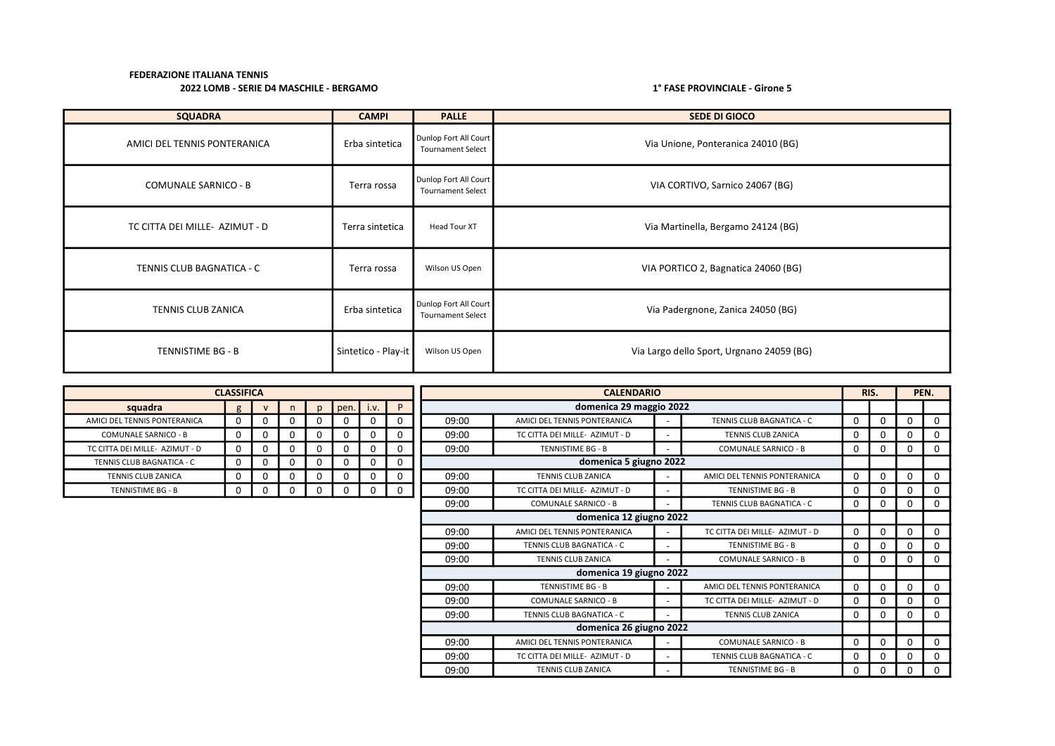# 2022 LOMB - SERIE D4 MASCHILE - BERGAMO 10 1000 1000 10000 10000 10000 10000 10000 10000 10000 10000 10000 10

| <b>SQUADRA</b>                 | <b>CAMPI</b>        | <b>PALLE</b>                                      | <b>SEDE DI GIOCO</b>                      |
|--------------------------------|---------------------|---------------------------------------------------|-------------------------------------------|
| AMICI DEL TENNIS PONTERANICA   | Erba sintetica      | Dunlop Fort All Court<br><b>Tournament Select</b> | Via Unione, Ponteranica 24010 (BG)        |
| <b>COMUNALE SARNICO - B</b>    | Terra rossa         | Dunlop Fort All Court<br><b>Tournament Select</b> | VIA CORTIVO, Sarnico 24067 (BG)           |
| TC CITTA DEI MILLE- AZIMUT - D | Terra sintetica     | Head Tour XT                                      | Via Martinella, Bergamo 24124 (BG)        |
| TENNIS CLUB BAGNATICA - C      | Terra rossa         | Wilson US Open                                    | VIA PORTICO 2, Bagnatica 24060 (BG)       |
| TENNIS CLUB ZANICA             | Erba sintetica      | Dunlop Fort All Court<br><b>Tournament Select</b> | Via Padergnone, Zanica 24050 (BG)         |
| TENNISTIME BG - B              | Sintetico - Play-it | Wilson US Open                                    | Via Largo dello Sport, Urgnano 24059 (BG) |

|                                | <b>CLASSIFICA</b> |              |          |              |             |          |          |       | <b>CALENDARIO</b>              |  |                                |          |          |          | PEN.        |
|--------------------------------|-------------------|--------------|----------|--------------|-------------|----------|----------|-------|--------------------------------|--|--------------------------------|----------|----------|----------|-------------|
| squadra                        | g                 | $\mathsf{v}$ |          | $\mathsf{D}$ | $pen.$ i.v. |          | <b>P</b> |       | domenica 29 maggio 2022        |  |                                |          |          |          |             |
| AMICI DEL TENNIS PONTERANICA   | $\Omega$          | 0            | $\Omega$ |              | $\Omega$    |          |          | 09:00 | AMICI DEL TENNIS PONTERANICA   |  | TENNIS CLUB BAGNATICA - C      | 0        | $\Omega$ | $\Omega$ | $\Omega$    |
| <b>COMUNALE SARNICO - B</b>    | $\Omega$          | 0            | $\Omega$ |              | 0           |          |          | 09:00 | TC CITTA DEI MILLE- AZIMUT - D |  | <b>TENNIS CLUB ZANICA</b>      | 0        | $\Omega$ | 0        | 0           |
| TC CITTA DEI MILLE- AZIMUT - D | $\mathbf{0}$      | 0            | 0        |              | 0           |          |          | 09:00 | TENNISTIME BG - B              |  | <b>COMUNALE SARNICO - B</b>    | 0        | 0        | 0        | $\mathbf 0$ |
| TENNIS CLUB BAGNATICA - C      | $\Omega$          | 0            | $\Omega$ |              | 0           |          | 0        |       | domenica 5 giugno 2022         |  |                                |          |          |          |             |
| <b>TENNIS CLUB ZANICA</b>      | 0                 | 0            | 0        |              | 0           |          |          | 09:00 | <b>TENNIS CLUB ZANICA</b>      |  | AMICI DEL TENNIS PONTERANICA   | 0        | $\Omega$ | 0        | $\Omega$    |
| TENNISTIME BG - B              | $\Omega$          | 0            | 0        |              | 0           | $\Omega$ | 0        | 09:00 | TC CITTA DEI MILLE- AZIMUT - D |  | <b>TENNISTIME BG - B</b>       | 0        | $\Omega$ | 0        | 0           |
|                                |                   |              |          |              |             |          |          | 09:00 | <b>COMUNALE SARNICO - B</b>    |  | TENNIS CLUB BAGNATICA - C      | 0        | $\Omega$ | 0        | 0           |
|                                |                   |              |          |              |             |          |          |       | domenica 12 giugno 2022        |  |                                |          |          |          |             |
|                                |                   |              |          |              |             |          |          | 09:00 | AMICI DEL TENNIS PONTERANICA   |  | TC CITTA DEI MILLE- AZIMUT - D | 0        | $\Omega$ | $\Omega$ | $\Omega$    |
|                                |                   |              |          |              |             |          |          | 09:00 | TENNIS CLUB BAGNATICA - C      |  | TENNISTIME BG - B              | 0        | O        | 0        | 0           |
|                                |                   |              |          |              |             |          |          | 09:00 | <b>TENNIS CLUB ZANICA</b>      |  | <b>COMUNALE SARNICO - B</b>    | 0        | $\Omega$ | 0        | $\Omega$    |
|                                |                   |              |          |              |             |          |          |       | domenica 19 giugno 2022        |  |                                |          |          |          |             |
|                                |                   |              |          |              |             |          |          | 09:00 | TENNISTIME BG - B              |  | AMICI DEL TENNIS PONTERANICA   | $\Omega$ | $\Omega$ | $\Omega$ | $\Omega$    |
|                                |                   |              |          |              |             |          |          | 09:00 | <b>COMUNALE SARNICO - B</b>    |  | TC CITTA DEI MILLE- AZIMUT - D | 0        | $\Omega$ | 0        | 0           |
|                                |                   |              |          |              |             |          |          | 09:00 | TENNIS CLUB BAGNATICA - C      |  | TENNIS CLUB ZANICA             | 0        | $\Omega$ | 0        | $\Omega$    |
|                                |                   |              |          |              |             |          |          |       | domenica 26 giugno 2022        |  |                                |          |          |          |             |
|                                |                   |              |          |              |             |          |          | 09:00 | AMICI DEL TENNIS PONTERANICA   |  | <b>COMUNALE SARNICO - B</b>    | 0        | $\Omega$ | 0        | 0           |
|                                |                   |              |          |              |             |          |          | 09:00 | TC CITTA DEI MILLE- AZIMUT - D |  | TENNIS CLUB BAGNATICA - C      | 0        |          | $\Omega$ | 0           |
|                                |                   |              |          |              |             |          |          | 09:00 | <b>TENNIS CLUB ZANICA</b>      |  | <b>TENNISTIME BG - B</b>       | 0        | $\Omega$ | 0        | $\Omega$    |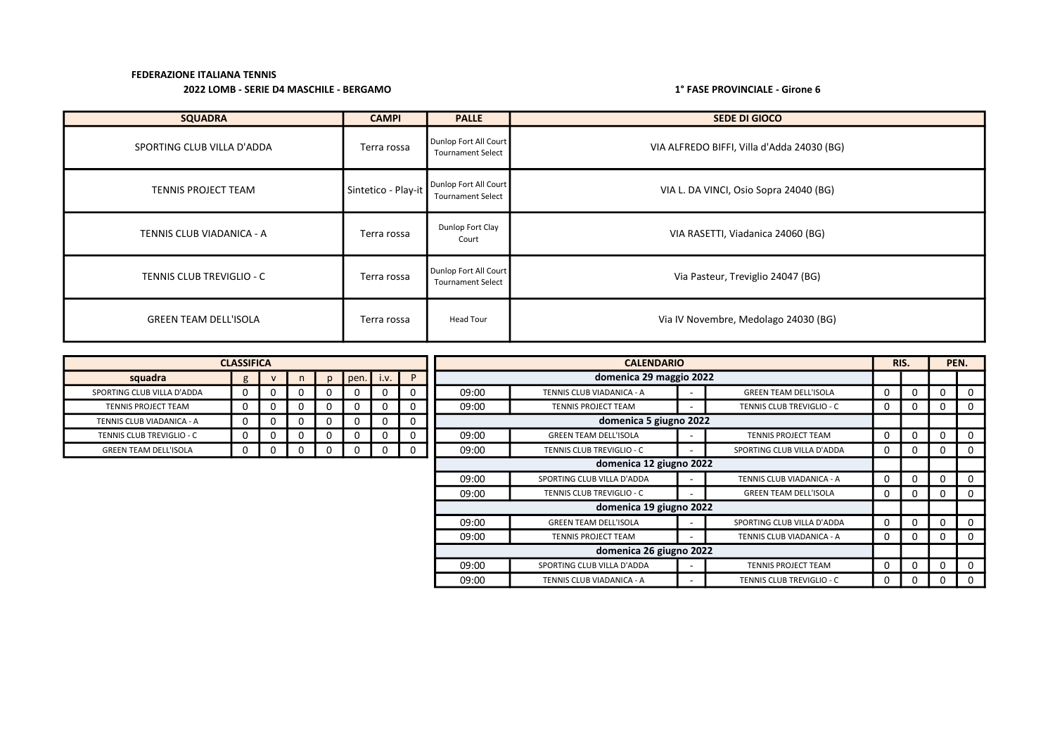# 2022 LOMB - SERIE D4 MASCHILE - BERGAMO 1° FASE PROVINCIALE - Girone 6

| <b>SQUADRA</b>               | <b>CAMPI</b>        | <b>PALLE</b>                                      | <b>SEDE DI GIOCO</b>                       |
|------------------------------|---------------------|---------------------------------------------------|--------------------------------------------|
| SPORTING CLUB VILLA D'ADDA   | Terra rossa         | Dunlop Fort All Court<br><b>Tournament Select</b> | VIA ALFREDO BIFFI, Villa d'Adda 24030 (BG) |
| <b>TENNIS PROJECT TEAM</b>   | Sintetico - Play-it | Dunlop Fort All Court<br><b>Tournament Select</b> | VIA L. DA VINCI, Osio Sopra 24040 (BG)     |
| TENNIS CLUB VIADANICA - A    | Terra rossa         | Dunlop Fort Clay<br>Court                         | VIA RASETTI, Viadanica 24060 (BG)          |
| TENNIS CLUB TREVIGLIO - C    | Terra rossa         | Dunlop Fort All Court<br><b>Tournament Select</b> | Via Pasteur, Treviglio 24047 (BG)          |
| <b>GREEN TEAM DELL'ISOLA</b> | Terra rossa         | <b>Head Tour</b>                                  | Via IV Novembre, Medolago 24030 (BG)       |

|          |          |                   |              |    |              |             |       |                              |                              |                                                                                                                                    |   |      | PEN.     |
|----------|----------|-------------------|--------------|----|--------------|-------------|-------|------------------------------|------------------------------|------------------------------------------------------------------------------------------------------------------------------------|---|------|----------|
| g        |          | n.                | $\mathsf{D}$ |    | i.v.         | P           |       |                              |                              |                                                                                                                                    |   |      |          |
| 0        |          | O                 | 0            | Ü  |              | 0           | 09:00 | TENNIS CLUB VIADANICA - A    | <b>GREEN TEAM DELL'ISOLA</b> | 0                                                                                                                                  |   | 0    |          |
| $\Omega$ | $^{(1)}$ | 0                 | 0            | 0. | <sup>n</sup> | 0           | 09:00 | <b>TENNIS PROJECT TEAM</b>   | TENNIS CLUB TREVIGLIO - C    | 0                                                                                                                                  | 0 | 0    | $\Omega$ |
| 0        |          | 0                 | 0            | 0  |              | 0           |       |                              |                              |                                                                                                                                    |   |      |          |
| 0        |          | 0                 | 0            | 0  |              | 0           | 09:00 | <b>GREEN TEAM DELL'ISOLA</b> | <b>TENNIS PROJECT TEAM</b>   | 0                                                                                                                                  |   | 0    |          |
| 0        | $\Omega$ | 0                 | $\Omega$     | 0  | $\Omega$     | $\mathbf 0$ | 09:00 | TENNIS CLUB TREVIGLIO - C    | SPORTING CLUB VILLA D'ADDA   | 0                                                                                                                                  | 0 | 0    | $\Omega$ |
|          |          |                   |              |    |              |             |       |                              |                              |                                                                                                                                    |   |      |          |
|          |          |                   |              |    |              |             | 09:00 | SPORTING CLUB VILLA D'ADDA   | TENNIS CLUB VIADANICA - A    | 0                                                                                                                                  | 0 | 0    | 0        |
|          |          |                   |              |    |              |             | 09:00 | TENNIS CLUB TREVIGLIO - C    | <b>GREEN TEAM DELL'ISOLA</b> | 0                                                                                                                                  | 0 | 0    | $\Omega$ |
|          |          |                   |              |    |              |             |       |                              |                              |                                                                                                                                    |   |      |          |
|          |          |                   |              |    |              |             | 09:00 | <b>GREEN TEAM DELL'ISOLA</b> | SPORTING CLUB VILLA D'ADDA   | 0                                                                                                                                  |   | 0    |          |
|          |          |                   |              |    |              |             | 09:00 | <b>TENNIS PROJECT TEAM</b>   | TENNIS CLUB VIADANICA - A    | 0                                                                                                                                  | 0 | 0    | $\Omega$ |
|          |          |                   |              |    |              |             |       |                              |                              |                                                                                                                                    |   |      |          |
|          |          |                   |              |    |              |             | 09:00 | SPORTING CLUB VILLA D'ADDA   | <b>TENNIS PROJECT TEAM</b>   | 0                                                                                                                                  |   | 0    |          |
|          |          |                   |              |    |              |             | 09:00 | TENNIS CLUB VIADANICA - A    | TENNIS CLUB TREVIGLIO - C    | 0                                                                                                                                  |   | 0    |          |
|          |          | <b>CLASSIFICA</b> |              |    |              | pen.        |       |                              | <b>CALENDARIO</b>            | domenica 29 maggio 2022<br>domenica 5 giugno 2022<br>domenica 12 giugno 2022<br>domenica 19 giugno 2022<br>domenica 26 giugno 2022 |   | RIS. |          |

| squadra                      | g | v | n | n | pen. | i.v. | D |
|------------------------------|---|---|---|---|------|------|---|
| SPORTING CLUB VILLA D'ADDA   |   |   |   |   |      |      |   |
| <b>TENNIS PROJECT TEAM</b>   | U | 0 |   |   |      |      |   |
| TENNIS CLUB VIADANICA - A    | 0 | O |   |   |      |      |   |
| TENNIS CLUB TREVIGLIO - C    | O | 0 |   |   |      |      |   |
| <b>GREEN TEAM DELL'ISOLA</b> |   |   |   |   |      |      |   |

Г